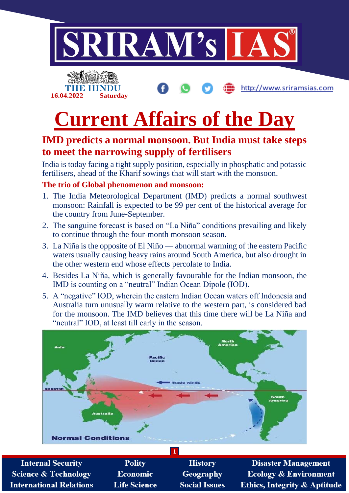



http://www.sriramsias.com

# **Current Affairs of the Day**

# **IMD predicts a normal monsoon. But India must take steps to meet the narrowing supply of fertilisers**

India is today facing a tight supply position, especially in phosphatic and potassic fertilisers, ahead of the Kharif sowings that will start with the monsoon.

## **The trio of Global phenomenon and monsoon:**

- 1. The India Meteorological Department (IMD) predicts a normal southwest monsoon: Rainfall is expected to be 99 per cent of the historical average for the country from June-September.
- 2. The sanguine forecast is based on "La Niña" conditions prevailing and likely to continue through the four-month monsoon season.
- 3. La Niña is the opposite of El Niño abnormal warming of the eastern Pacific waters usually causing heavy rains around South America, but also drought in the other western end whose effects percolate to India.
- 4. Besides La Niña, which is generally favourable for the Indian monsoon, the IMD is counting on a "neutral" Indian Ocean Dipole (IOD).
- 5. A "negative" IOD, wherein the eastern Indian Ocean waters off Indonesia and Australia turn unusually warm relative to the western part, is considered bad for the monsoon. The IMD believes that this time there will be La Niña and "neutral" IOD, at least till early in the season.



**1 Internal Security Polity History Disaster Management Science & Technology Economic** Geography **Ecology & Environment International Relations Life Science Social Issues Ethics, Integrity & Aptitude**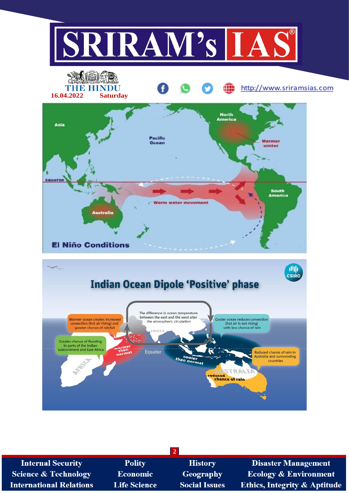

| <b>Internal Security</b>        | <b>Polity</b>       | <b>History</b>       | <b>Disaster Management</b>              |
|---------------------------------|---------------------|----------------------|-----------------------------------------|
| <b>Science &amp; Technology</b> | <b>Economic</b>     | Geography            | <b>Ecology &amp; Environment</b>        |
| <b>International Relations</b>  | <b>Life Science</b> | <b>Social Issues</b> | <b>Ethics, Integrity &amp; Aptitude</b> |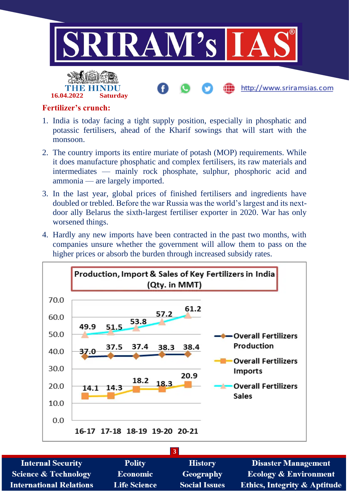

### **Fertilizer's crunch:**

**16.04.2022 Saturday**

- 1. India is today facing a tight supply position, especially in phosphatic and potassic fertilisers, ahead of the Kharif sowings that will start with the monsoon.
- 2. The country imports its entire muriate of potash (MOP) requirements. While it does manufacture phosphatic and complex fertilisers, its raw materials and intermediates — mainly rock phosphate, sulphur, phosphoric acid and ammonia — are largely imported.
- 3. In the last year, global prices of finished fertilisers and ingredients have doubled or trebled. Before the war Russia was the world's largest and its nextdoor ally Belarus the sixth-largest fertiliser exporter in 2020. War has only worsened things.
- 4. Hardly any new imports have been contracted in the past two months, with companies unsure whether the government will allow them to pass on the higher prices or absorb the burden through increased subsidy rates.



| <b>Internal Security</b>        | <b>Polity</b>       | <b>History</b>       | <b>Disaster Management</b>              |
|---------------------------------|---------------------|----------------------|-----------------------------------------|
| <b>Science &amp; Technology</b> | <b>Economic</b>     | Geography            | <b>Ecology &amp; Environment</b>        |
| <b>International Relations</b>  | <b>Life Science</b> | <b>Social Issues</b> | <b>Ethics, Integrity &amp; Aptitude</b> |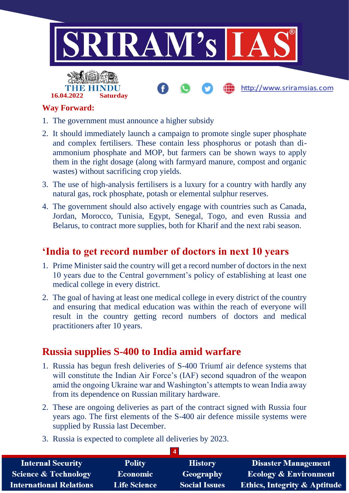

### **Way Forward:**

- 1. The government must announce a higher subsidy
- 2. It should immediately launch a campaign to promote single super phosphate and complex fertilisers. These contain less phosphorus or potash than diammonium phosphate and MOP, but farmers can be shown ways to apply them in the right dosage (along with farmyard manure, compost and organic wastes) without sacrificing crop yields.
- 3. The use of high-analysis fertilisers is a luxury for a country with hardly any natural gas, rock phosphate, potash or elemental sulphur reserves.
- 4. The government should also actively engage with countries such as Canada, Jordan, Morocco, Tunisia, Egypt, Senegal, Togo, and even Russia and Belarus, to contract more supplies, both for Kharif and the next rabi season.

# **'India to get record number of doctors in next 10 years**

- 1. Prime Minister said the country will get a record number of doctors in the next 10 years due to the Central government's policy of establishing at least one medical college in every district.
- 2. The goal of having at least one medical college in every district of the country and ensuring that medical education was within the reach of everyone will result in the country getting record numbers of doctors and medical practitioners after 10 years.

# **Russia supplies S-400 to India amid warfare**

- 1. Russia has begun fresh deliveries of S-400 Triumf air defence systems that will constitute the Indian Air Force's (IAF) second squadron of the weapon amid the ongoing Ukraine war and Washington's attempts to wean India away from its dependence on Russian military hardware.
- 2. These are ongoing deliveries as part of the contract signed with Russia four years ago. The first elements of the S-400 air defence missile systems were supplied by Russia last December.
- 3. Russia is expected to complete all deliveries by 2023.

| <b>Internal Security</b>        | <b>Polity</b>       | <b>History</b>       | <b>Disaster Management</b>              |
|---------------------------------|---------------------|----------------------|-----------------------------------------|
| <b>Science &amp; Technology</b> | <b>Economic</b>     | Geography            | <b>Ecology &amp; Environment</b>        |
| <b>International Relations</b>  | <b>Life Science</b> | <b>Social Issues</b> | <b>Ethics, Integrity &amp; Aptitude</b> |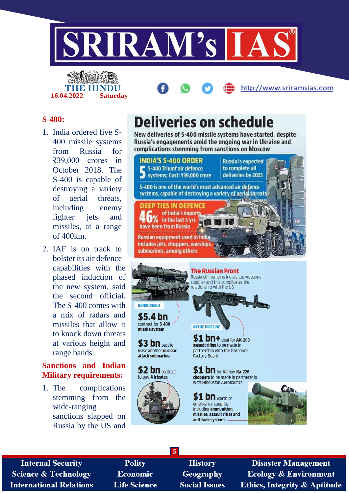

# IN HIRLEIN **16.04.2022 Saturday**

http://www.sriramsias.com

### **S-400:**

- 1. India ordered five S-400 missile systems from Russia for ₹39,000 crores in October 2018. The S-400 is capable of destroying a variety of aerial threats, including enemy fighter jets and missiles, at a range of 400km.
- 2. IAF is on track to bolster its air defence capabilities with the phased induction of the new system, said the second official. The S-400 comes with a mix of radars and missiles that allow it to knock down threats at various height and range bands.

### **Sanctions and Indian Military requirements:**

1. The complications stemming from the wide-ranging sanctions slapped on Russia by the US and

# **Deliveries on schedule**

New deliveries of S-400 missile systems have started, despite Russia's engagements amid the ongoing war in Ukraine and complications stemming from sanctions on Moscow



**INKED DEALS** \$5.4 bn contract for S-400 IN THE PIPELINE missile system  $$1$  bn+ deal for AK-203 \$3 bn pact to assault rifles to be made in lease another nuclear partnership with the Ordnance attack submarine **Factory Board** \$2 bn contract  $$1$  bn for Kamov Ka-226 to buy 4 frigates choppers to be made in partnership with Hindustan Aeronautics \$1 bn worth of

emergency supplies. including ammunition, missiles, assault rifles and anti-tank systems



**Internal Security Science & Technology International Relations** 

**Polity Economic Life Science** 

**History** Geography **Social Issues** 

**5**

**Disaster Management Ecology & Environment Ethics, Integrity & Aptitude**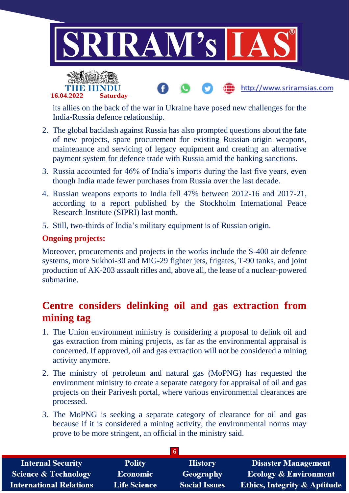



its allies on the back of the war in Ukraine have posed new challenges for the India-Russia defence relationship.

http://www.sriramsias.com

- 2. The global backlash against Russia has also prompted questions about the fate of new projects, spare procurement for existing Russian-origin weapons, maintenance and servicing of legacy equipment and creating an alternative payment system for defence trade with Russia amid the banking sanctions.
- 3. Russia accounted for 46% of India's imports during the last five years, even though India made fewer purchases from Russia over the last decade.
- 4. Russian weapons exports to India fell 47% between 2012-16 and 2017-21, according to a report published by the Stockholm International Peace Research Institute (SIPRI) last month.
- 5. Still, two-thirds of India's military equipment is of Russian origin.

### **Ongoing projects:**

Moreover, procurements and projects in the works include the S-400 air defence systems, more Sukhoi-30 and MiG-29 fighter jets, frigates, T-90 tanks, and joint production of AK-203 assault rifles and, above all, the lease of a nuclear-powered submarine.

# **Centre considers delinking oil and gas extraction from mining tag**

- 1. The Union environment ministry is considering a proposal to delink oil and gas extraction from mining projects, as far as the environmental appraisal is concerned. If approved, oil and gas extraction will not be considered a mining activity anymore.
- 2. The ministry of petroleum and natural gas (MoPNG) has requested the environment ministry to create a separate category for appraisal of oil and gas projects on their Parivesh portal, where various environmental clearances are processed.
- 3. The MoPNG is seeking a separate category of clearance for oil and gas because if it is considered a mining activity, the environmental norms may prove to be more stringent, an official in the ministry said.

| <b>Internal Security</b>        | <b>Polity</b>       | <b>History</b>       | <b>Disaster Management</b>              |
|---------------------------------|---------------------|----------------------|-----------------------------------------|
| <b>Science &amp; Technology</b> | Economic            | Geography            | <b>Ecology &amp; Environment</b>        |
| <b>International Relations</b>  | <b>Life Science</b> | <b>Social Issues</b> | <b>Ethics, Integrity &amp; Aptitude</b> |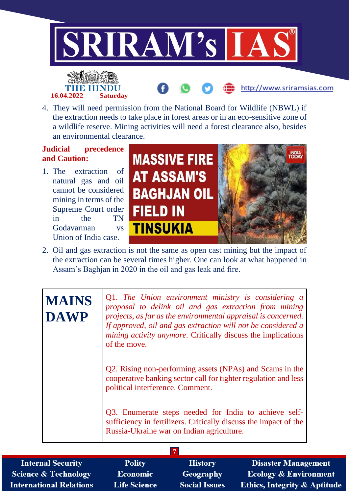



### **Judicial precedence and Caution:**

1. The extraction of natural gas and oil cannot be considered mining in terms of the Supreme Court order in the TN Godavarman vs Union of India case.



http://www.sriramsias.com

2. Oil and gas extraction is not the same as open cast mining but the impact of the extraction can be several times higher. One can look at what happened in Assam's Baghjan in 2020 in the oil and gas leak and fire.

| <b>MAINS</b><br><b>DAWP</b> | Q1. The Union environment ministry is considering a<br>proposal to delink oil and gas extraction from mining<br>projects, as far as the environmental appraisal is concerned.<br>If approved, oil and gas extraction will not be considered a<br><i>mining activity anymore.</i> Critically discuss the implications<br>of the move. |
|-----------------------------|--------------------------------------------------------------------------------------------------------------------------------------------------------------------------------------------------------------------------------------------------------------------------------------------------------------------------------------|
|                             | Q2. Rising non-performing assets (NPAs) and Scams in the<br>cooperative banking sector call for tighter regulation and less<br>political interference. Comment.                                                                                                                                                                      |
|                             | Q3. Enumerate steps needed for India to achieve self-<br>sufficiency in fertilizers. Critically discuss the impact of the<br>Russia-Ukraine war on Indian agriculture.                                                                                                                                                               |

| <b>Internal Security</b>        | <b>Polity</b>       | <b>History</b>       | <b>Disaster Management</b>              |
|---------------------------------|---------------------|----------------------|-----------------------------------------|
| <b>Science &amp; Technology</b> | <b>Economic</b>     | Geography            | <b>Ecology &amp; Environment</b>        |
| <b>International Relations</b>  | <b>Life Science</b> | <b>Social Issues</b> | <b>Ethics, Integrity &amp; Aptitude</b> |